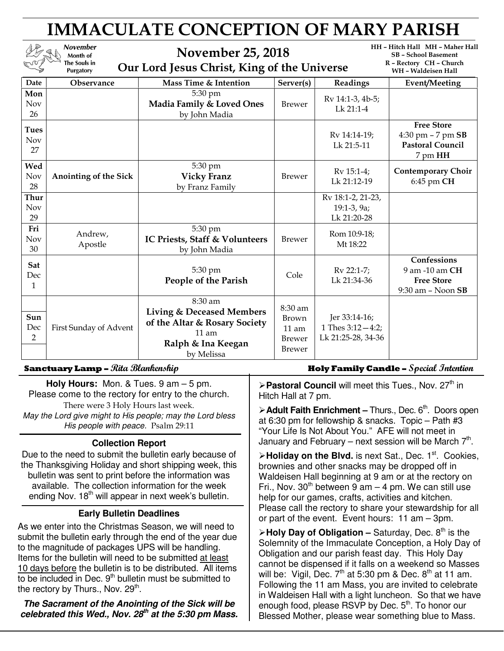# IMMACULATE CONCEPTION OF MARY PARISH

HH – Hitch Hall MH – Maher Hall November November 25, 2018 SB – School Basement Month of an<br>-R – Rectory CH – Church The Souls in Our Lord Jesus Christ, King of the Universe Purgatory WH – Waldeisen Hall Date Observance Mass Time & Intention Server(s) Readings Event/Meeting 5:30 pm Mon Brewer Rv 14:1-3, 4b-5; Madia Family & Loved Ones Nov Lk 21:1-4 by John Madia 26 Free Store Tues Rv 14:14-19; 4:30 pm – 7 pm SB Nov Lk 21:5-11 Pastoral Council 27 7 pm HH Wed 5:30 pm Brewer  $\begin{array}{|c|c|c|c|c|}\n\hline\n\text{Brewer} & \text{Rv 15:1-4;} \\
\hline\n\text{L} & \text{L} & \text{L} & \text{L} & \text{L} \\
\hline\n\end{array}$ Contemporary Choir Nov Anointing of the Sick Vicky Franz Lk 21:12-19 6:45 pm CH 28 by Franz Family Thur Rv 18:1-2, 21-23, Nov 19:1-3, 9a; 29 Lk 21:20-28 5:30 pm Fri Andrew,  $Brewer$  Rom 10:9-18; IC Priests, Staff & Volunteers Nov Apostle Mt 18:22 30 by John Madia **Confessions** Sat  $\left\{\n \begin{array}{c}\n 5.30 \text{ pm} \\
 \text{People of the Paris} \\
 \end{array}\n \right.\n \left\{\n \begin{array}{c}\n \text{Cole} \\
 \text{Cole} \\
 \text{Lk 21:34-36}\n \end{array}\n \right.$ 5:30 pm 9 am -10 am CH Dec Free Store Lk 21:34-36 1 9:30 am – Noon SB 8:30 am 8:30 am Living & Deceased Members Sun Brown Jer 33:14-16; of the Altar & Rosary Society Dec First Sunday of Advent 1 Thes 3:12—4:2; 11 am 11 am Lk 21:25-28, 34-36  $\mathcal{D}$ Brewer Ralph & Ina Keegan Brewer by Melissa

**Holy Hours:** Mon. & Tues. 9 am – 5 pm. Please come to the rectory for entry to the church. There were 3 Holy Hours last week. May the Lord give might to His people; may the Lord bless His people with peace. Psalm 29:11

#### **Collection Report**

Due to the need to submit the bulletin early because of the Thanksgiving Holiday and short shipping week, this bulletin was sent to print before the information was available. The collection information for the week ending Nov.  $18<sup>th</sup>$  will appear in next week's bulletin.

### **Early Bulletin Deadlines**

As we enter into the Christmas Season, we will need to submit the bulletin early through the end of the year due to the magnitude of packages UPS will be handling. Items for the bulletin will need to be submitted at least 10 days before the bulletin is to be distributed. All items to be included in Dec.  $9<sup>th</sup>$  bulletin must be submitted to the rectory by Thurs., Nov. 29<sup>th</sup>.

**The Sacrament of the Anointing of the Sick will be celebrated this Wed., Nov. 28th at the 5:30 pm Mass.**

#### Sanctuary Lamp – Rita Blankenship **Holy Family Candle –** Special Intention

**Pastoral Council** will meet this Tues., Nov. 27<sup>th</sup> in Hitch Hall at 7 pm.

**Adult Faith Enrichment – Thurs., Dec. 6<sup>th</sup>. Doors open** at 6:30 pm for fellowship & snacks. Topic – Path #3 "Your Life Is Not About You." AFE will not meet in January and February – next session will be March  $7<sup>th</sup>$ .

> Holiday on the Blvd. is next Sat., Dec. 1<sup>st</sup>. Cookies, brownies and other snacks may be dropped off in Waldeisen Hall beginning at 9 am or at the rectory on Fri., Nov.  $30<sup>th</sup>$  between 9 am – 4 pm. We can still use help for our games, crafts, activities and kitchen. Please call the rectory to share your stewardship for all or part of the event. Event hours: 11 am – 3pm.

 $\triangleright$  **Holy Day of Obligation –** Saturday, Dec. 8<sup>th</sup> is the Solemnity of the Immaculate Conception, a Holy Day of Obligation and our parish feast day. This Holy Day cannot be dispensed if it falls on a weekend so Masses will be: Vigil, Dec.  $7<sup>th</sup>$  at 5:30 pm & Dec. 8<sup>th</sup> at 11 am. Following the 11 am Mass, you are invited to celebrate in Waldeisen Hall with a light luncheon. So that we have enough food, please RSVP by Dec. 5<sup>th</sup>. To honor our Blessed Mother, please wear something blue to Mass.